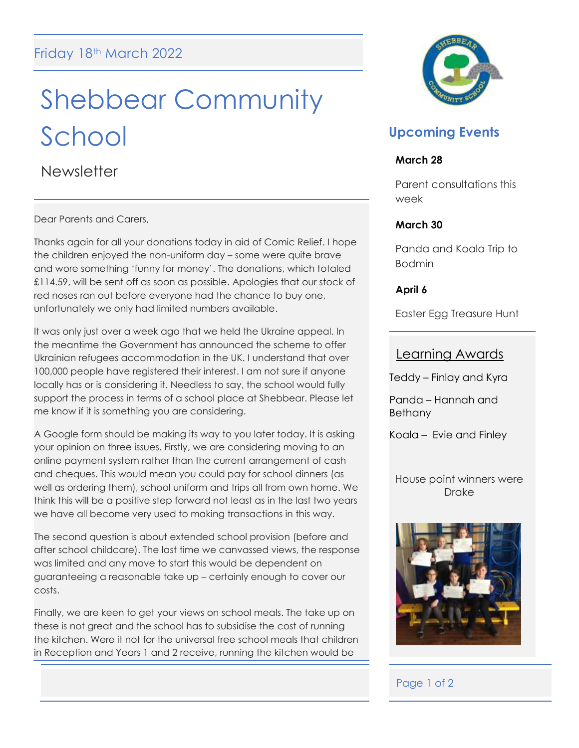# Shebbear Community School

**Newsletter** 

Dear Parents and Carers,

Thanks again for all your donations today in aid of Comic Relief. I hope the children enjoyed the non-uniform day – some were quite brave and wore something 'funny for money'. The donations, which totaled £114.59, will be sent off as soon as possible. Apologies that our stock of red noses ran out before everyone had the chance to buy one, unfortunately we only had limited numbers available.

It was only just over a week ago that we held the Ukraine appeal. In the meantime the Government has announced the scheme to offer Ukrainian refugees accommodation in the UK. I understand that over 100,000 people have registered their interest. I am not sure if anyone locally has or is considering it. Needless to say, the school would fully support the process in terms of a school place at Shebbear. Please let me know if it is something you are considering.

A Google form should be making its way to you later today. It is asking your opinion on three issues. Firstly, we are considering moving to an online payment system rather than the current arrangement of cash and cheques. This would mean you could pay for school dinners (as well as ordering them), school uniform and trips all from own home. We think this will be a positive step forward not least as in the last two years we have all become very used to making transactions in this way.

The second question is about extended school provision (before and after school childcare). The last time we canvassed views, the response was limited and any move to start this would be dependent on guaranteeing a reasonable take up – certainly enough to cover our costs.

Finally, we are keen to get your views on school meals. The take up on these is not great and the school has to subsidise the cost of running the kitchen. Were it not for the universal free school meals that children in Reception and Years 1 and 2 receive, running the kitchen would be



## **Upcoming Events**

#### **March 28**

Parent consultations this week

## **March 30**

Panda and Koala Trip to Bodmin

**April 6**

Easter Egg Treasure Hunt

## Learning Awards

Teddy – Finlay and Kyra

Panda – Hannah and Bethany

Koala – Evie and Finley

House point winners were Drake



## Page 1 of 2